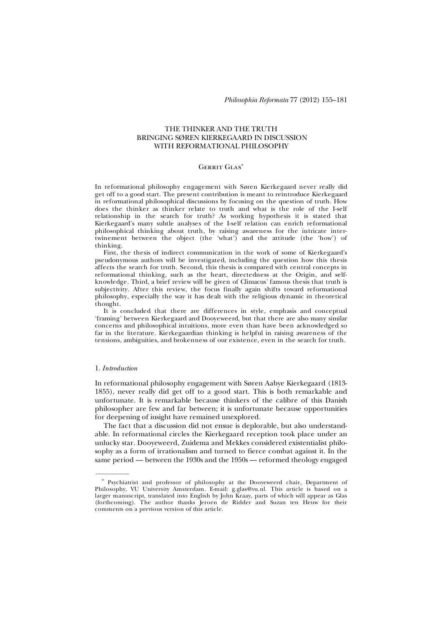# THE THINKER AND THE TRUTH BRINGING SØREN KIERKEGAARD IN DISCUSSION WITH REFORMATIONAL PHILOSOPHY

# Gerrit Glas\*

In reformational philosophy engagement with Søren Kierkegaard never really did get off to a good start. The present contribution is meant to reintroduce Kierkegaard in reformational philosophical discussions by focusing on the question of truth. How does the thinker as thinker relate to truth and what is the role of the I-self relationship in the search for truth? As working hypothesis it is stated that Kierkegaard's many subtle analyses of the I-self relation can enrich reformational philosophical thinking about truth, by raising awareness for the intricate intertwinement between the object (the 'what') and the attitude (the 'how') of thinking.

First, the thesis of indirect communication in the work of some of Kierkegaard's pseudonymous authors will be investigated, including the question how this thesis affects the search for truth. Second, this thesis is compared with central concepts in reformational thinking, such as the heart, directedness at the Origin, and selfknowledge. Third, a brief review will be given of Climacus' famous thesis that truth is subjectivity. After this review, the focus finally again shifts toward reformational philosophy, especially the way it has dealt with the religious dynamic in theoretical thought.

It is concluded that there are differences in style, emphasis and conceptual 'framing' between Kierkegaard and Dooyeweerd, but that there are also many similar concerns and philosophical intuitions, more even than have been acknowledged so far in the literature. Kierkegaardian thinking is helpful in raising awareness of the tensions, ambiguities, and brokenness of our existence, even in the search for truth.

#### 1. *Introduction*

\_\_\_\_\_\_\_\_\_\_\_

In reformational philosophy engagement with Søren Aabye Kierkegaard (1813- 1855), never really did get off to a good start. This is both remarkable and unfortunate. It is remarkable because thinkers of the calibre of this Danish philosopher are few and far between; it is unfortunate because opportunities for deepening of insight have remained unexplored.

The fact that a discussion did not ensue is deplorable, but also understandable. In reformational circles the Kierkegaard reception took place under an unlucky star. Dooyeweerd, Zuidema and Mekkes considered existentialist philosophy as a form of irrationalism and turned to fierce combat against it. In the same period — between the 1930s and the 1950s — reformed theology engaged

<sup>\*</sup> Psychiatrist and professor of philosophy at the Dooyeweerd chair, Department of Philosophy, VU University Amsterdam. E-mail: g.glas@vu.nl. This article is based on a larger manuscript, translated into English by John Kraay, parts of which will appear as Glas (forthcoming). The author thanks Jeroen de Ridder and Suzan ten Heuw for their comments on a previous version of this article.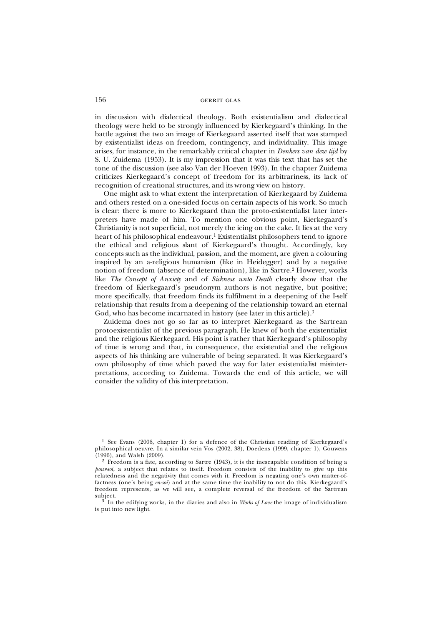in discussion with dialectical theology. Both existentialism and dialectical theology were held to be strongly influenced by Kierkegaard's thinking. In the battle against the two an image of Kierkegaard asserted itself that was stamped by existentialist ideas on freedom, contingency, and individuality. This image arises, for instance, in the remarkably critical chapter in *Denkers van deze tijd* by S. U. Zuidema (1953). It is my impression that it was this text that has set the tone of the discussion (see also Van der Hoeven 1993). In the chapter Zuidema criticizes Kierkegaard's concept of freedom for its arbitrariness, its lack of recognition of creational structures, and its wrong view on history.

One might ask to what extent the interpretation of Kierkegaard by Zuidema and others rested on a one-sided focus on certain aspects of his work. So much is clear: there is more to Kierkegaard than the proto-existentialist later interpreters have made of him. To mention one obvious point, Kierkegaard's Christianity is not superficial, not merely the icing on the cake. It lies at the very heart of his philosophical endeavour.1 Existentialist philosophers tend to ignore the ethical and religious slant of Kierkegaard's thought. Accordingly, key concepts such as the individual, passion, and the moment, are given a colouring inspired by an a-religious humanism (like in Heidegger) and by a negative notion of freedom (absence of determination), like in Sartre.2 However, works like *The Concept of Anxiety* and of *Sickness unto Death* clearly show that the freedom of Kierkegaard's pseudonym authors is not negative, but positive; more specifically, that freedom finds its fulfilment in a deepening of the I-self relationship that results from a deepening of the relationship toward an eternal God, who has become incarnated in history (see later in this article).<sup>3</sup>

Zuidema does not go so far as to interpret Kierkegaard as the Sartrean protoexistentialist of the previous paragraph. He knew of both the existentialist and the religious Kierkegaard. His point is rather that Kierkegaard's philosophy of time is wrong and that, in consequence, the existential and the religious aspects of his thinking are vulnerable of being separated. It was Kierkegaard's own philosophy of time which paved the way for later existentialist misinterpretations, according to Zuidema. Towards the end of this article, we will consider the validity of this interpretation.

<sup>1</sup> See Evans (2006, chapter 1) for a defence of the Christian reading of Kierkegaard's philosophical oeuvre. In a similar vein Vos (2002, 38), Doedens (1999, chapter 1), Gouwens (1996), and Walsh (2009).

<sup>2</sup> Freedom is a fate, according to Sartre (1943), it is the inescapable condition of being a *pour-soi*, a subject that relates to itself. Freedom consists of the inability to give up this relatedness and the negativity that comes with it. Freedom is negating one's own matter-offactness (one's being *en-soi*) and at the same time the inability to not do this. Kierkegaard's freedom represents, as we will see, a complete reversal of the freedom of the Sartrean

 $3<sup>3</sup>$  In the edifying works, in the diaries and also in *Works of Love* the image of individualism is put into new light.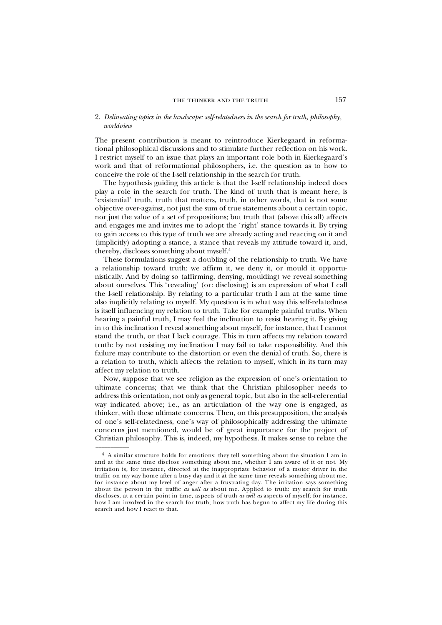# 2. *Delineating topics in the landscape: self-relatedness in the search for truth, philosophy, worldview*

The present contribution is meant to reintroduce Kierkegaard in reformational philosophical discussions and to stimulate further reflection on his work. I restrict myself to an issue that plays an important role both in Kierkegaard's work and that of reformational philosophers, i.e. the question as to how to conceive the role of the I-self relationship in the search for truth.

The hypothesis guiding this article is that the I-self relationship indeed does play a role in the search for truth. The kind of truth that is meant here, is 'existential' truth, truth that matters, truth, in other words, that is not some objective over-against, not just the sum of true statements about a certain topic, nor just the value of a set of propositions; but truth that (above this all) affects and engages me and invites me to adopt the 'right' stance towards it. By trying to gain access to this type of truth we are already acting and reacting on it and (implicitly) adopting a stance, a stance that reveals my attitude toward it, and, thereby, discloses something about myself.4

These formulations suggest a doubling of the relationship to truth. We have a relationship toward truth: we affirm it, we deny it, or mould it opportunistically. And by doing so (affirming, denying, moulding) we reveal something about ourselves. This 'revealing' (or: disclosing) is an expression of what I call the I-self relationship. By relating to a particular truth I am at the same time also implicitly relating to myself. My question is in what way this self-relatedness is itself influencing my relation to truth. Take for example painful truths. When hearing a painful truth, I may feel the inclination to resist hearing it. By giving in to this inclination I reveal something about myself, for instance, that I cannot stand the truth, or that I lack courage. This in turn affects my relation toward truth: by not resisting my inclination I may fail to take responsibility. And this failure may contribute to the distortion or even the denial of truth. So, there is a relation to truth, which affects the relation to myself, which in its turn may affect my relation to truth.

Now, suppose that we see religion as the expression of one's orientation to ultimate concerns; that we think that the Christian philosopher needs to address this orientation, not only as general topic, but also in the self-referential way indicated above; i.e., as an articulation of the way one is engaged, as thinker, with these ultimate concerns. Then, on this presupposition, the analysis of one's self-relatedness, one's way of philosophically addressing the ultimate concerns just mentioned, would be of great importance for the project of Christian philosophy. This is, indeed, my hypothesis. It makes sense to relate the \_\_\_\_\_\_\_\_\_\_\_

<sup>4</sup> A similar structure holds for emotions: they tell something about the situation I am in and at the same time disclose something about me, whether I am aware of it or not. My irritation is, for instance, directed at the inappropriate behavior of a motor driver in the traffic on my way home after a busy day and it at the same time reveals something about me, for instance about my level of anger after a frustrating day. The irritation says something about the person in the traffic *as well as* about me. Applied to truth: my search for truth discloses, at a certain point in time, aspects of truth *as well as* aspects of myself; for instance, how I am involved in the search for truth; how truth has begun to affect my life during this search and how I react to that.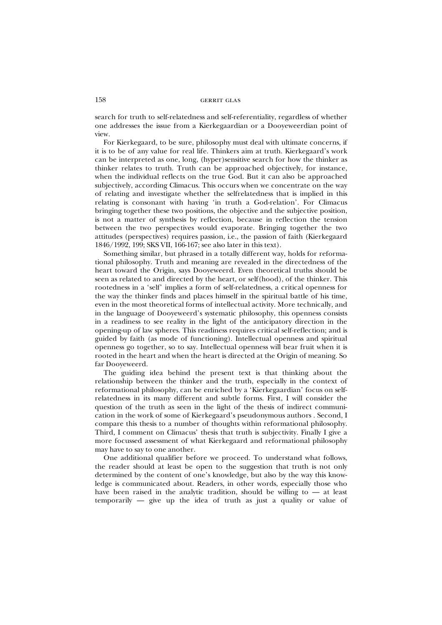search for truth to self-relatedness and self-referentiality, regardless of whether one addresses the issue from a Kierkegaardian or a Dooyeweerdian point of view.

For Kierkegaard, to be sure, philosophy must deal with ultimate concerns, if it is to be of any value for real life. Thinkers aim at truth. Kierkegaard's work can be interpreted as one, long, (hyper)sensitive search for how the thinker as thinker relates to truth. Truth can be approached objectively, for instance, when the individual reflects on the true God. But it can also be approached subjectively, according Climacus. This occurs when we concentrate on the way of relating and investigate whether the selfrelatedness that is implied in this relating is consonant with having 'in truth a God-relation'. For Climacus bringing together these two positions, the objective and the subjective position, is not a matter of synthesis by reflection, because in reflection the tension between the two perspectives would evaporate. Bringing together the two attitudes (perspectives) requires passion, i.e., the passion of faith (Kierkegaard 1846/1992, 199; SKS VII, 166-167; see also later in this text).

Something similar, but phrased in a totally different way, holds for reformational philosophy. Truth and meaning are revealed in the directedness of the heart toward the Origin, says Dooyeweerd. Even theoretical truths should be seen as related to and directed by the heart, or self(hood), of the thinker. This rootedness in a 'self' implies a form of self-relatedness, a critical openness for the way the thinker finds and places himself in the spiritual battle of his time, even in the most theoretical forms of intellectual activity. More technically, and in the language of Dooyeweerd's systematic philosophy, this openness consists in a readiness to see reality in the light of the anticipatory direction in the opening-up of law spheres. This readiness requires critical self-reflection; and is guided by faith (as mode of functioning). Intellectual openness and spiritual openness go together, so to say. Intellectual openness will bear fruit when it is rooted in the heart and when the heart is directed at the Origin of meaning. So far Dooyeweerd.

The guiding idea behind the present text is that thinking about the relationship between the thinker and the truth, especially in the context of reformational philosophy, can be enriched by a 'Kierkegaardian' focus on selfrelatedness in its many different and subtle forms. First, I will consider the question of the truth as seen in the light of the thesis of indirect communication in the work of some of Kierkegaard's pseudonymous authors . Second, I compare this thesis to a number of thoughts within reformational philosophy. Third, I comment on Climacus' thesis that truth is subjectivity. Finally I give a more focussed assessment of what Kierkegaard and reformational philosophy may have to say to one another.

One additional qualifier before we proceed. To understand what follows, the reader should at least be open to the suggestion that truth is not only determined by the content of one's knowledge, but also by the way this knowledge is communicated about. Readers, in other words, especially those who have been raised in the analytic tradition, should be willing to — at least temporarily — give up the idea of truth as just a quality or value of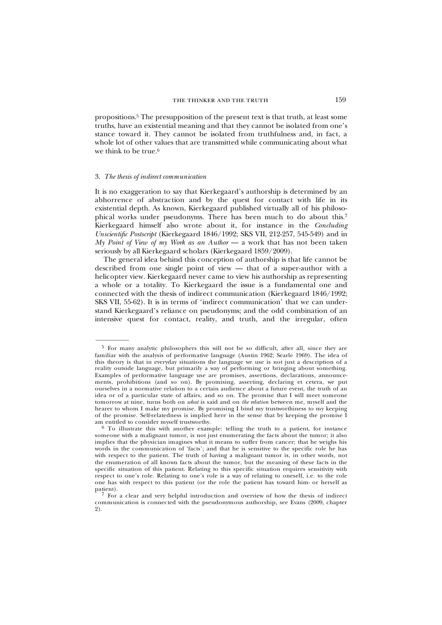propositions.5 The presupposition of the present text is that truth, at least some truths, have an existential meaning and that they cannot be isolated from one's stance toward it. They cannot be isolated from truthfulness and, in fact, a whole lot of other values that are transmitted while communicating about what we think to be true.<sup>6</sup>

#### 3. *The thesis of indirect communication*

\_\_\_\_\_\_\_\_\_\_\_

It is no exaggeration to say that Kierkegaard's authorship is determined by an abhorrence of abstraction and by the quest for contact with life in its existential depth. As known, Kierkegaard published virtually all of his philosophical works under pseudonyms. There has been much to do about this.7 Kierkegaard himself also wrote about it, for instance in the *Concluding Unscientific Postscript* (Kierkegaard 1846/1992; SKS VII, 212-257, 545-549) and in *My Point of View of my Work as an Author* — a work that has not been taken seriously by all Kierkegaard scholars (Kierkegaard 1859/2009).

 The general idea behind this conception of authorship is that life cannot be described from one single point of view — that of a super-author with a helicopter view. Kierkegaard never came to view his authorship as representing a whole or a totality. To Kierkegaard the issue is a fundamental one and connected with the thesis of indirect communication (Kierkegaard 1846/1992; SKS VII, 55-62). It is in terms of 'indirect communication' that we can understand Kierkegaard's reliance on pseudonyms; and the odd combination of an intensive quest for contact, reality, and truth, and the irregular, often

<sup>5</sup> For many analytic philosophers this will not be so difficult, after all, since they are familiar with the analysis of performative language (Austin 1962; Searle 1969). The idea of this theory is that in everyday situations the language we use is not just a description of a reality outside language, but primarily a way of performing or bringing about something. Examples of performative language use are promises, assertions, declarations, announcements, prohibitions (and so on). By promising, asserting, declaring et cetera, we put ourselves in a normative relation to a certain audience about a future event, the truth of an idea or of a particular state of affairs, and so on. The promise that I will meet someone tomorrow at nine, turns both on *what* is said and on *the relation* between me, myself and the hearer to whom I make my promise. By promising I bind my trustworthiness to my keeping of the promise. Self-relatedness is implied here in the sense that by keeping the promise I am entitled to consider myself trustworthy.<br> $\frac{6}{10}$  To illustrate this with another example: telling the truth to a patient, for instance

someone with a malignant tumor, is not just enumerating the facts about the tumor; it also implies that the physician imagines what it means to suffer from cancer; that he weighs his words in the communication of 'facts'; and that he is sensitive to the specific role he has with respect to the patient. The truth of having a malignant tumor is, in other words, not the enumeration of all known facts about the tumor, but the meaning of these facts in the specific situation of this patient. Relating to this specific situation requires sensitivity with respect to one's role. Relating to one's role is a way of relating to oneself, i.e. to the role one has with respect to this patient (or the role the patient has toward him- or herself as

patient).<br><sup>7</sup> For a clear and very helpful introduction and overview of how the thesis of indirect communication is connected with the pseudonymous authorship, see Evans (2009, chapter 2).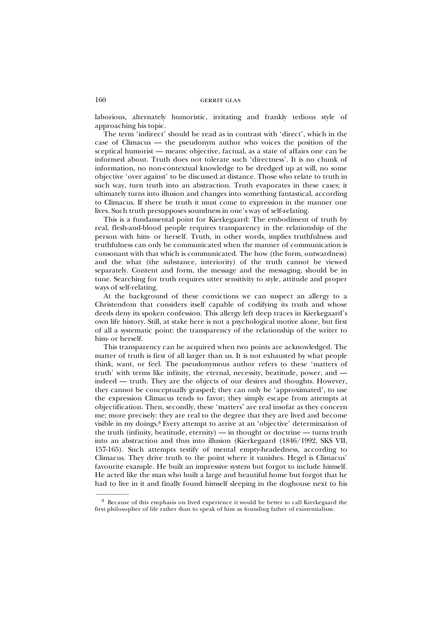laborious, alternately humoristic, irritating and frankly tedious style of approaching his topic.

 The term 'indirect' should be read as in contrast with 'direct', which in the case of Climacus — the pseudonym author who voices the position of the sceptical humorist — means: objective, factual, as a state of affairs one can be informed about. Truth does not tolerate such 'directness'. It is no chunk of information, no non-contextual knowledge to be dredged up at will, no some objective 'over against' to be discussed at distance. Those who relate to truth in such way, turn truth into an abstraction. Truth evaporates in these cases; it ultimately turns into illusion and changes into something fantastical, according to Climacus. If there be truth it must come to expression in the manner one lives. Such truth presupposes soundness in one's way of self-relating.

This is a fundamental point for Kierkegaard: The embodiment of truth by real, flesh-and-blood people requires transparency in the relationship of the person with him- or herself. Truth, in other words, implies truthfulness and truthfulness can only be communicated when the manner of communication is consonant with that which is communicated. The how (the form, outwardness) and the what (the substance, interiority) of the truth cannot be viewed separately. Content and form, the message and the messaging, should be in tune. Searching for truth requires utter sensitivity to style, attitude and proper ways of self-relating.

 At the background of these convictions we can suspect an allergy to a Christendom that considers itself capable of codifying its truth and whose deeds deny its spoken confession. This allergy left deep traces in Kierkegaard's own life history. Still, at stake here is not a psychological motive alone, but first of all a systematic point: the transparency of the relationship of the writer to him- or herself.

This transparency can be acquired when two points are acknowledged. The matter of truth is first of all larger than us. It is not exhausted by what people think, want, or feel. The pseudonymous author refers to these 'matters of truth' with terms like infinity, the eternal, necessity, beatitude, power, and indeed — truth. They are the objects of our desires and thoughts. However, they cannot be conceptually grasped; they can only be 'approximated', to use the expression Climacus tends to favor; they simply escape from attempts at objectification. Then, secondly, these 'matters' are real insofar as they concern me; more precisely: they are real to the degree that they are lived and become visible in my doings.8 Every attempt to arrive at an 'objective' determination of the truth (infinity, beatitude, eternity) — in thought or doctrine — turns truth into an abstraction and thus into illusion (Kierkegaard (1846/1992, SKS VII, 157-165). Such attempts testify of mental empty-headedness, according to Climacus. They drive truth to the point where it vanishes. Hegel is Climacus' favourite example. He built an impressive system but forgot to include himself. He acted like the man who built a large and beautiful home but forgot that he had to live in it and finally found himself sleeping in the doghouse next to his

<sup>8</sup> Because of this emphasis on lived experience it would be better to call Kierkegaard the first philosopher of life rather than to speak of him as founding father of existentialism.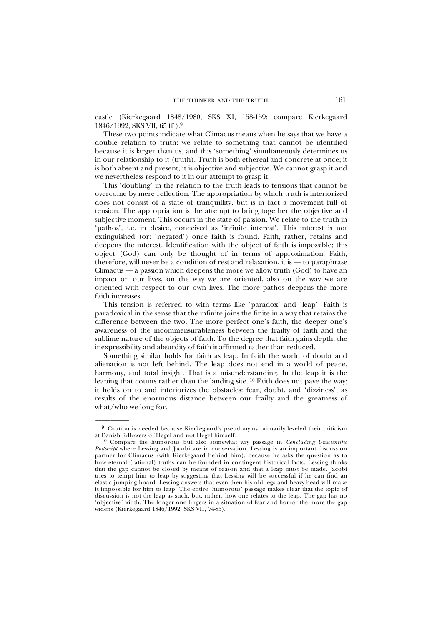castle (Kierkegaard 1848/1980, SKS XI, 158-159; compare Kierkegaard 1846/1992, SKS VII, 65 ff ).9

These two points indicate what Climacus means when he says that we have a double relation to truth: we relate to something that cannot be identified because it is larger than us, and this 'something' simultaneously determines us in our relationship to it (truth). Truth is both ethereal and concrete at once; it is both absent and present, it is objective and subjective. We cannot grasp it and we nevertheless respond to it in our attempt to grasp it.

This 'doubling' in the relation to the truth leads to tensions that cannot be overcome by mere reflection. The appropriation by which truth is interiorized does not consist of a state of tranquillity, but is in fact a movement full of tension. The appropriation is the attempt to bring together the objective and subjective moment. This occurs in the state of passion. We relate to the truth in 'pathos', i.e. in desire, conceived as 'infinite interest'. This interest is not extinguished (or: 'negated') once faith is found. Faith, rather, retains and deepens the interest. Identification with the object of faith is impossible; this object (God) can only be thought of in terms of approximation. Faith, therefore, will never be a condition of rest and relaxation, it is — to paraphrase Climacus — a passion which deepens the more we allow truth (God) to have an impact on our lives, on the way we are oriented, also on the way we are oriented with respect to our own lives. The more pathos deepens the more faith increases.

This tension is referred to with terms like 'paradox' and 'leap'. Faith is paradoxical in the sense that the infinite joins the finite in a way that retains the difference between the two. The more perfect one's faith, the deeper one's awareness of the incommensurableness between the frailty of faith and the sublime nature of the objects of faith. To the degree that faith gains depth, the inexpressibility and absurdity of faith is affirmed rather than reduced.

Something similar holds for faith as leap. In faith the world of doubt and alienation is not left behind. The leap does not end in a world of peace, harmony, and total insight. That is a misunderstanding. In the leap it is the leaping that counts rather than the landing site. 10 Faith does not pave the way; it holds on to and interiorizes the obstacles: fear, doubt, and 'dizziness', as results of the enormous distance between our frailty and the greatness of what/who we long for.

 $^9$  Caution is needed because Kierkegaard's pseudonyms primarily leveled their criticism at Danish followers of Hegel and not Hegel himself.

at Danish followers of Hegel and not Hegel himself. 10 Compare the humorous but also somewhat wry passage in *Concluding Unscientific Postscript* where Lessing and Jacobi are in conversation. Lessing is an important discussion partner for Climacus (with Kierkegaard behind him), because he asks the question as to how eternal (rational) truths can be founded in contingent historical facts. Lessing thinks that the gap cannot be closed by means of reason and that a leap must be made. Jacobi tries to tempt him to leap by suggesting that Lessing will be successful if he can find an elastic jumping board. Lessing answers that even then his old legs and heavy head will make it impossible for him to leap. The entire 'humorous' passage makes clear that the topic of discussion is not the leap as such, but, rather, how one relates to the leap. The gap has no 'objective' width. The longer one lingers in a situation of fear and horror the more the gap widens (Kierkegaard 1846/1992, SKS VII, 74-85).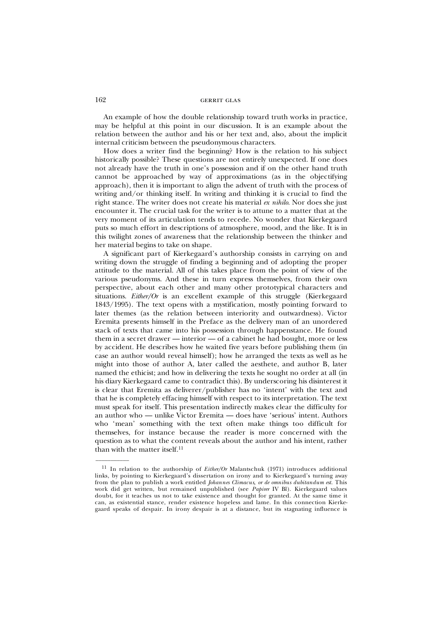An example of how the double relationship toward truth works in practice, may be helpful at this point in our discussion. It is an example about the relation between the author and his or her text and, also, about the implicit internal criticism between the pseudonymous characters.

How does a writer find the beginning? How is the relation to his subject historically possible? These questions are not entirely unexpected. If one does not already have the truth in one's possession and if on the other hand truth cannot be approached by way of approximations (as in the objectifying approach), then it is important to align the advent of truth with the process of writing and/or thinking itself. In writing and thinking it is crucial to find the right stance. The writer does not create his material *ex nihilo*. Nor does she just encounter it. The crucial task for the writer is to attune to a matter that at the very moment of its articulation tends to recede. No wonder that Kierkegaard puts so much effort in descriptions of atmosphere, mood, and the like. It is in this twilight zones of awareness that the relationship between the thinker and her material begins to take on shape.

A significant part of Kierkegaard's authorship consists in carrying on and writing down the struggle of finding a beginning and of adopting the proper attitude to the material. All of this takes place from the point of view of the various pseudonyms. And these in turn express themselves, from their own perspective, about each other and many other prototypical characters and situations. *Either/Or* is an excellent example of this struggle (Kierkegaard 1843/1995). The text opens with a mystification, mostly pointing forward to later themes (as the relation between interiority and outwardness). Victor Eremita presents himself in the Preface as the delivery man of an unordered stack of texts that came into his possession through happenstance. He found them in a secret drawer — interior — of a cabinet he had bought, more or less by accident. He describes how he waited five years before publishing them (in case an author would reveal himself); how he arranged the texts as well as he might into those of author A, later called the aesthete, and author B, later named the ethicist; and how in delivering the texts he sought no order at all (in his diary Kierkegaard came to contradict this). By underscoring his disinterest it is clear that Eremita as deliverer/publisher has no 'intent' with the text and that he is completely effacing himself with respect to its interpretation. The text must speak for itself. This presentation indirectly makes clear the difficulty for an author who — unlike Victor Eremita — does have 'serious' intent. Authors who 'mean' something with the text often make things too difficult for themselves, for instance because the reader is more concerned with the question as to what the content reveals about the author and his intent, rather than with the matter itself.11

<sup>11</sup> In relation to the authorship of *Either/Or* Malantschuk (1971) introduces additional links, by pointing to Kierkegaard's dissertation on irony and to Kierkegaard's turning away from the plan to publish a work entitled *Johannes Climacus, or de omnibus dubitandum est*. This work did get written, but remained unpublished (see *Papirer* IV Bl). Kierkegaard values doubt, for it teaches us not to take existence and thought for granted. At the same time it can, as existential stance, render existence hopeless and lame. In this connection Kierkegaard speaks of despair. In irony despair is at a distance, but its stagnating influence is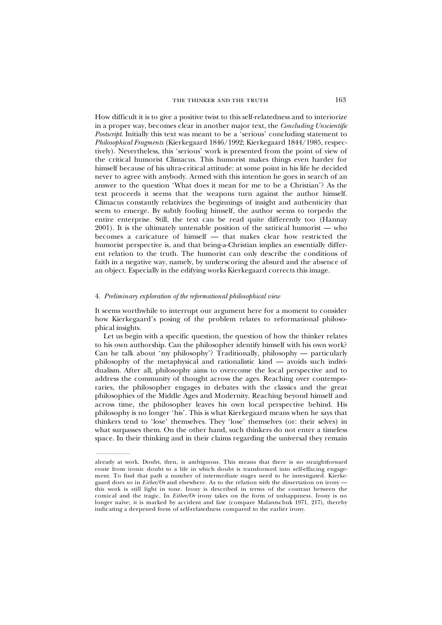How difficult it is to give a positive twist to this self-relatedness and to interiorize in a proper way, becomes clear in another major text, the *Concluding Unscientific Postscript*. Initially this text was meant to be a 'serious' concluding statement to *Philosophical Fragments* (Kierkegaard 1846/1992; Kierkegaard 1844/1985, respectively). Nevertheless, this 'serious' work is presented from the point of view of the critical humorist Climacus. This humorist makes things even harder for himself because of his ultra-critical attitude: at some point in his life he decided never to agree with anybody. Armed with this intention he goes in search of an answer to the question 'What does it mean for me to be a Christian'? As the text proceeds it seems that the weapons turn against the author himself. Climacus constantly relativizes the beginnings of insight and authenticity that seem to emerge. By subtly fooling himself, the author seems to torpedo the entire enterprise. Still, the text can be read quite differently too (Hannay 2001). It is the ultimately untenable position of the satirical humorist — who becomes a caricature of himself — that makes clear how restricted the humorist perspective is, and that being-a-Christian implies an essentially different relation to the truth. The humorist can only describe the conditions of faith in a negative way, namely, by underscoring the absurd and the absence of an object. Especially in the edifying works Kierkegaard corrects this image.

# 4. *Preliminary exploration of the reformational philosophical view*

\_\_\_\_\_\_\_\_\_\_\_\_\_

It seems worthwhile to interrupt our argument here for a moment to consider how Kierkegaard's posing of the problem relates to reformational philosophical insights.

 Let us begin with a specific question, the question of how the thinker relates to his own authorship. Can the philosopher identify himself with his own work? Can he talk about 'my philosophy'? Traditionally, philosophy — particularly philosophy of the metaphysical and rationalistic kind — avoids such individualism. After all, philosophy aims to overcome the local perspective and to address the community of thought across the ages. Reaching over contemporaries, the philosopher engages in debates with the classics and the great philosophies of the Middle Ages and Modernity. Reaching beyond himself and across time, the philosopher leaves his own local perspective behind. His philosophy is no longer 'his'. This is what Kierkegaard means when he says that thinkers tend to 'lose' themselves. They 'lose' themselves (or: their selves) in what surpasses them. On the other hand, such thinkers do not enter a timeless space. In their thinking and in their claims regarding the universal they remain

already at work. Doubt, then, is ambiguous. This means that there is no straightforward route from ironic doubt to a life in which doubt is transformed into self-effacing engagement. To find that path a number of intermediate stages need to be investigated. Kierkegaard does so in *Either/Or* and elsewhere. As to the relation with the dissertation on irony this work is still light in tone. Irony is described in terms of the contrast between the comical and the tragic. In *Either/Or* irony takes on the form of unhappiness. Irony is no longer naïve; it is marked by accident and fate (compare Malantschuk 1971, 217), thereby indicating a deepened form of self-relatedness compared to the earlier irony.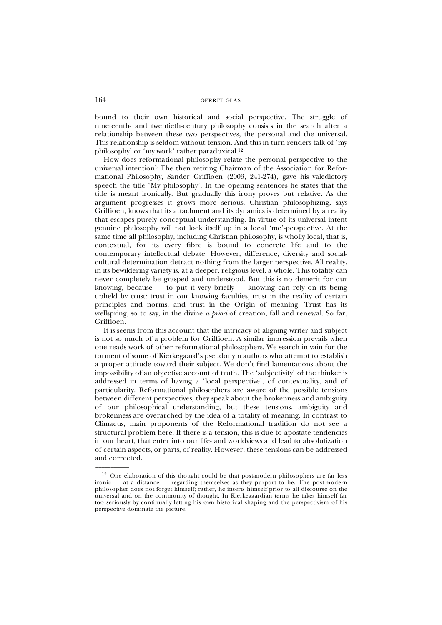bound to their own historical and social perspective. The struggle of nineteenth- and twentieth-century philosophy consists in the search after a relationship between these two perspectives, the personal and the universal. This relationship is seldom without tension. And this in turn renders talk of 'my philosophy' or 'my work' rather paradoxical.12

 How does reformational philosophy relate the personal perspective to the universal intention? The then retiring Chairman of the Association for Reformational Philosophy, Sander Griffioen (2003, 241-274), gave his valedictory speech the title 'My philosophy'. In the opening sentences he states that the title is meant ironically. But gradually this irony proves but relative. As the argument progresses it grows more serious. Christian philosophizing, says Griffioen, knows that its attachment and its dynamics is determined by a reality that escapes purely conceptual understanding. In virtue of its universal intent genuine philosophy will not lock itself up in a local 'me'-perspective. At the same time all philosophy, including Christian philosophy, is wholly local, that is, contextual, for its every fibre is bound to concrete life and to the contemporary intellectual debate. However, difference, diversity and socialcultural determination detract nothing from the larger perspective. All reality, in its bewildering variety is, at a deeper, religious level, a whole. This totality can never completely be grasped and understood. But this is no demerit for our knowing, because — to put it very briefly — knowing can rely on its being upheld by trust: trust in our knowing faculties, trust in the reality of certain principles and norms, and trust in the Origin of meaning. Trust has its wellspring, so to say, in the divine *a priori* of creation, fall and renewal. So far, Griffioen.

It is seems from this account that the intricacy of aligning writer and subject is not so much of a problem for Griffioen. A similar impression prevails when one reads work of other reformational philosophers. We search in vain for the torment of some of Kierkegaard's pseudonym authors who attempt to establish a proper attitude toward their subject. We don't find lamentations about the impossibility of an objective account of truth. The 'subjectivity' of the thinker is addressed in terms of having a 'local perspective', of contextuality, and of particularity. Reformational philosophers are aware of the possible tensions between different perspectives, they speak about the brokenness and ambiguity of our philosophical understanding, but these tensions, ambiguity and brokenness are overarched by the idea of a totality of meaning. In contrast to Climacus, main proponents of the Reformational tradition do not see a structural problem here. If there is a tension, this is due to apostate tendencies in our heart, that enter into our life- and worldviews and lead to absolutization of certain aspects, or parts, of reality. However, these tensions can be addressed and corrected.

<sup>&</sup>lt;sup>12</sup> One elaboration of this thought could be that post-modern philosophers are far less ironic — at a distance — regarding themselves as they purport to be. The post-modern philosopher does not forget himself; rather, he inserts himself prior to all discourse on the universal and on the community of thought. In Kierkegaardian terms he takes himself far too seriously by continually letting his own historical shaping and the perspectivism of his perspective dominate the picture.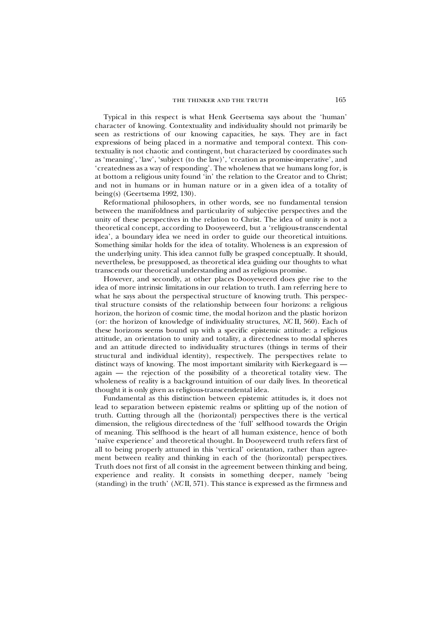Typical in this respect is what Henk Geertsema says about the 'human' character of knowing. Contextuality and individuality should not primarily be seen as restrictions of our knowing capacities, he says. They are in fact expressions of being placed in a normative and temporal context. This contextuality is not chaotic and contingent, but characterized by coordinates such as 'meaning', 'law', 'subject (to the law)', 'creation as promise-imperative', and 'createdness as a way of responding'. The wholeness that we humans long for, is at bottom a religious unity found 'in' the relation to the Creator and to Christ; and not in humans or in human nature or in a given idea of a totality of being(s) (Geertsema 1992, 130).

Reformational philosophers, in other words, see no fundamental tension between the manifoldness and particularity of subjective perspectives and the unity of these perspectives in the relation to Christ. The idea of unity is not a theoretical concept, according to Dooyeweerd, but a 'religious-transcendental idea', a boundary idea we need in order to guide our theoretical intuitions. Something similar holds for the idea of totality. Wholeness is an expression of the underlying unity. This idea cannot fully be grasped conceptually. It should, nevertheless, be presupposed, as theoretical idea guiding our thoughts to what transcends our theoretical understanding and as religious promise.

However, and secondly, at other places Dooyeweerd does give rise to the idea of more intrinsic limitations in our relation to truth. I am referring here to what he says about the perspectival structure of knowing truth. This perspectival structure consists of the relationship between four horizons: a religious horizon, the horizon of cosmic time, the modal horizon and the plastic horizon (or: the horizon of knowledge of individuality structures, *NC* II, 560). Each of these horizons seems bound up with a specific epistemic attitude: a religious attitude, an orientation to unity and totality, a directedness to modal spheres and an attitude directed to individuality structures (things in terms of their structural and individual identity), respectively. The perspectives relate to distinct ways of knowing. The most important similarity with Kierkegaard is again — the rejection of the possibility of a theoretical totality view. The wholeness of reality is a background intuition of our daily lives. In theoretical thought it is only given as religious-transcendental idea.

 Fundamental as this distinction between epistemic attitudes is, it does not lead to separation between epistemic realms or splitting up of the notion of truth. Cutting through all the (horizontal) perspectives there is the vertical dimension, the religious directedness of the 'full' selfhood towards the Origin of meaning. This selfhood is the heart of all human existence, hence of both 'naïve experience' and theoretical thought. In Dooyeweerd truth refers first of all to being properly attuned in this 'vertical' orientation, rather than agreement between reality and thinking in each of the (horizontal) perspectives. Truth does not first of all consist in the agreement between thinking and being, experience and reality. It consists in something deeper, namely 'being (standing) in the truth' (*NC* II, 571). This stance is expressed as the firmness and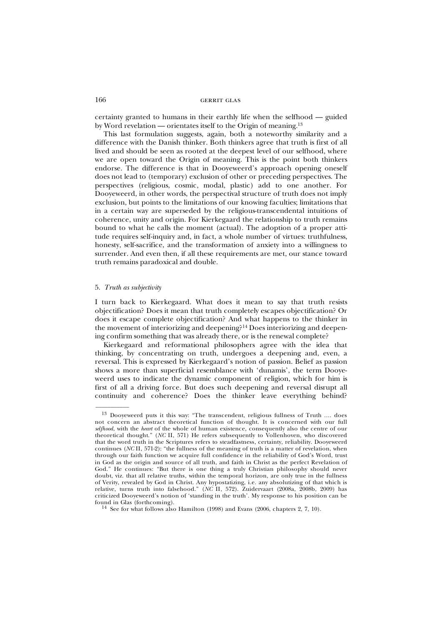certainty granted to humans in their earthly life when the selfhood — guided by Word revelation — orientates itself to the Origin of meaning.13

This last formulation suggests, again, both a noteworthy similarity and a difference with the Danish thinker. Both thinkers agree that truth is first of all lived and should be seen as rooted at the deepest level of our selfhood, where we are open toward the Origin of meaning. This is the point both thinkers endorse. The difference is that in Dooyeweerd's approach opening oneself does not lead to (temporary) exclusion of other or preceding perspectives. The perspectives (religious, cosmic, modal, plastic) add to one another. For Dooyeweerd, in other words, the perspectival structure of truth does not imply exclusion, but points to the limitations of our knowing faculties; limitations that in a certain way are superseded by the religious-transcendental intuitions of coherence, unity and origin. For Kierkegaard the relationship to truth remains bound to what he calls the moment (actual). The adoption of a proper attitude requires self-inquiry and, in fact, a whole number of virtues: truthfulness, honesty, self-sacrifice, and the transformation of anxiety into a willingness to surrender. And even then, if all these requirements are met, our stance toward truth remains paradoxical and double.

# 5. *Truth as subjectivity*

\_\_\_\_\_\_\_\_\_\_\_

I turn back to Kierkegaard. What does it mean to say that truth resists objectification? Does it mean that truth completely escapes objectification? Or does it escape complete objectification? And what happens to the thinker in the movement of interiorizing and deepening?14 Does interiorizing and deepening confirm something that was already there, or is the renewal complete?

Kierkegaard and reformational philosophers agree with the idea that thinking, by concentrating on truth, undergoes a deepening and, even, a reversal. This is expressed by Kierkegaard's notion of passion. Belief as passion shows a more than superficial resemblance with 'dunamis', the term Dooyeweerd uses to indicate the dynamic component of religion, which for him is first of all a driving force. But does such deepening and reversal disrupt all continuity and coherence? Does the thinker leave everything behind?

<sup>13</sup> Dooyeweerd puts it this way: "The transcendent, religious fullness of Truth .... does not concern an abstract theoretical function of thought. It is concerned with our full *selfhood*, with the *heart* of the whole of human existence, consequently also the centre of our theoretical thought." (*NC* II, 571) He refers subsequently to Vollenhoven, who discovered that the word truth in the Scriptures refers to steadfastness, certainty, reliability. Dooyeweerd continues (*NC* II, 571-2): "the fullness of the meaning of truth is a matter of revelation, when through our faith function we acquire full confidence in the reliability of God's Word, trust in God as the origin and source of all truth, and faith in Christ as the perfect Revelation of God." He continues: "But there is one thing a truly Christian philosophy should never doubt, viz. that all relative truths, within the temporal horizon, are only true in the fullness of Verity, revealed by God in Christ. Any hypostatizing, i.e. any absolutizing of that which is relative, turns truth into falsehood." (*NC* II, 572). Zuidervaart (2008a, 2008b, 2009) has criticized Dooyeweerd's notion of 'standing in the truth'. My response to his position can be

<sup>&</sup>lt;sup>14</sup> See for what follows also Hamilton (1998) and Evans (2006, chapters 2, 7, 10).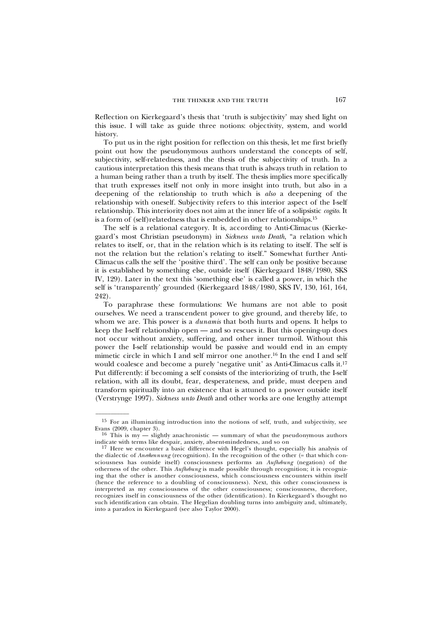Reflection on Kierkegaard's thesis that 'truth is subjectivity' may shed light on this issue. I will take as guide three notions: objectivity, system, and world history.

To put us in the right position for reflection on this thesis, let me first briefly point out how the pseudonymous authors understand the concepts of self, subjectivity, self-relatedness, and the thesis of the subjectivity of truth. In a cautious interpretation this thesis means that truth is always truth in relation to a human being rather than a truth by itself. The thesis implies more specifically that truth expresses itself not only in more insight into truth, but also in a deepening of the relationship to truth which is *also* a deepening of the relationship with oneself. Subjectivity refers to this interior aspect of the I-self relationship. This interiority does not aim at the inner life of a solipsistic *cogito*. It is a form of (self)relatedness that is embedded in other relationships.15

The self is a relational category. It is, according to Anti-Climacus (Kierkegaard's most Christian pseudonym) in *Sickness unto Death*, "a relation which relates to itself, or, that in the relation which is its relating to itself. The self is not the relation but the relation's relating to itself." Somewhat further Anti-Climacus calls the self the 'positive third'. The self can only be positive because it is established by something else, outside itself (Kierkegaard 1848/1980, SKS IV, 129). Later in the text this 'something else' is called a power, in which the self is 'transparently' grounded (Kierkegaard 1848/1980, SKS IV, 130, 161, 164, 242).

To paraphrase these formulations: We humans are not able to posit ourselves. We need a transcendent power to give ground, and thereby life, to whom we are. This power is a *dunamis* that both hurts and opens. It helps to keep the I-self relationship open — and so rescues it. But this opening-up does not occur without anxiety, suffering, and other inner turmoil. Without this power the I-self relationship would be passive and would end in an empty mimetic circle in which I and self mirror one another.16 In the end I and self would coalesce and become a purely 'negative unit' as Anti-Climacus calls it.17 Put differently: if becoming a self consists of the interiorizing of truth, the I-self relation, with all its doubt, fear, desperateness, and pride, must deepen and transform spiritually into an existence that is attuned to a power outside itself (Verstrynge 1997). *Sickness unto Death* and other works are one lengthy attempt

<sup>15</sup> For an illuminating introduction into the notions of self, truth, and subjectivity, see

Evans (2009, chapter 3).  $^{16}$  This is my — slightly anachronistic — summary of what the pseudonymous authors indicate with terms like despair, anxiety, absent-mindedness, and so on

 $17$  Here we encounter a basic difference with Hegel's thought, especially his analysis of the dialectic of *Anerkennung* (recognition). In the recognition of the other (= that which consciousness has outside itself) consciousness performs an *Aufhebung* (negation) of the otherness of the other. This *Aufhebung* is made possible through recognition; it is recognizing that the other is another consciousness, which consciousness encounters within itself (hence the reference to a doubling of consciousness). Next, this other consciousness is interpreted as my consciousness of the other consciousness; consciousness, therefore, recognizes itself in consciousness of the other (identification). In Kierkegaard's thought no such identification can obtain. The Hegelian doubling turns into ambiguity and, ultimately, into a paradox in Kierkegaard (see also Taylor 2000).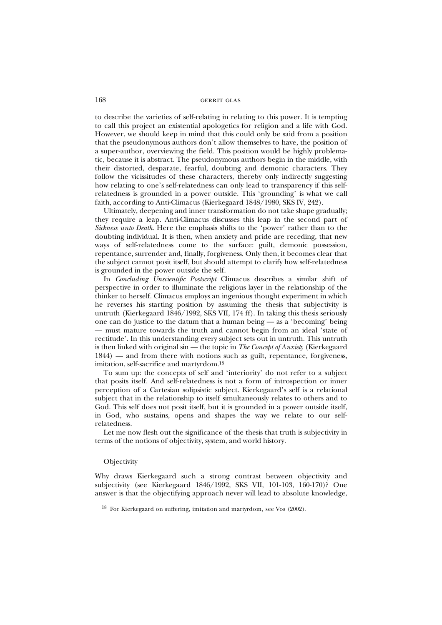to describe the varieties of self-relating in relating to this power. It is tempting to call this project an existential apologetics for religion and a life with God. However, we should keep in mind that this could only be said from a position that the pseudonymous authors don't allow themselves to have, the position of a super-author, overviewing the field. This position would be highly problematic, because it is abstract. The pseudonymous authors begin in the middle, with their distorted, desparate, fearful, doubting and demonic characters. They follow the vicissitudes of these characters, thereby only indirectly suggesting how relating to one's self-relatedness can only lead to transparency if this selfrelatedness is grounded in a power outside. This 'grounding' is what we call faith, according to Anti-Climacus (Kierkegaard 1848/1980, SKS IV, 242).

Ultimately, deepening and inner transformation do not take shape gradually; they require a leap. Anti-Climacus discusses this leap in the second part of *Sickness unto Death*. Here the emphasis shifts to the 'power' rather than to the doubting individual. It is then, when anxiety and pride are receding, that new ways of self-relatedness come to the surface: guilt, demonic possession, repentance, surrender and, finally, forgiveness. Only then, it becomes clear that the subject cannot posit itself, but should attempt to clarify how self-relatedness is grounded in the power outside the self.

In *Concluding Unscientific Postscript* Climacus describes a similar shift of perspective in order to illuminate the religious layer in the relationship of the thinker to herself. Climacus employs an ingenious thought experiment in which he reverses his starting position by assuming the thesis that subjectivity is untruth (Kierkegaard 1846/1992, SKS VII, 174 ff). In taking this thesis seriously one can do justice to the datum that a human being — as a 'becoming' being — must mature towards the truth and cannot begin from an ideal 'state of rectitude'. In this understanding every subject sets out in untruth. This untruth is then linked with original sin — the topic in *The Concept of Anxiety* (Kierkegaard 1844) — and from there with notions such as guilt, repentance, forgiveness, imitation, self-sacrifice and martyrdom.18

To sum up: the concepts of self and 'interiority' do not refer to a subject that posits itself. And self-relatedness is not a form of introspection or inner perception of a Cartesian solipsistic subject. Kierkegaard's self is a relational subject that in the relationship to itself simultaneously relates to others and to God. This self does not posit itself, but it is grounded in a power outside itself, in God, who sustains, opens and shapes the way we relate to our selfrelatedness.

Let me now flesh out the significance of the thesis that truth is subjectivity in terms of the notions of objectivity, system, and world history.

#### **Objectivity**

Why draws Kierkegaard such a strong contrast between objectivity and subjectivity (see Kierkegaard 1846/1992, SKS VII, 101-103, 160-170)? One answer is that the objectifying approach never will lead to absolute knowledge, \_\_\_\_\_\_\_\_\_\_\_

<sup>18</sup> For Kierkegaard on suffering, imitation and martyrdom, see Vos (2002).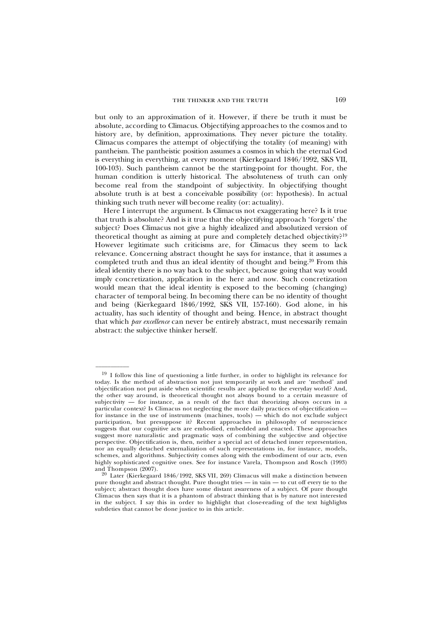but only to an approximation of it. However, if there be truth it must be absolute, according to Climacus. Objectifying approaches to the cosmos and to history are, by definition, approximations. They never picture the totality. Climacus compares the attempt of objectifying the totality (of meaning) with pantheism. The pantheistic position assumes a cosmos in which the eternal God is everything in everything, at every moment (Kierkegaard 1846/1992, SKS VII, 100-103). Such pantheism cannot be the starting-point for thought. For, the human condition is utterly historical. The absoluteness of truth can only become real from the standpoint of subjectivity. In objectifying thought absolute truth is at best a conceivable possibility (or: hypothesis). In actual thinking such truth never will become reality (or: actuality).

Here I interrupt the argument. Is Climacus not exaggerating here? Is it true that truth is absolute? And is it true that the objectifying approach 'forgets' the subject? Does Climacus not give a highly idealized and absolutized version of theoretical thought as aiming at pure and completely detached objectivity?19 However legitimate such criticisms are, for Climacus they seem to lack relevance. Concerning abstract thought he says for instance, that it assumes a completed truth and thus an ideal identity of thought and being.20 From this ideal identity there is no way back to the subject, because going that way would imply concretization, application in the here and now. Such concretization would mean that the ideal identity is exposed to the becoming (changing) character of temporal being. In becoming there can be no identity of thought and being (Kierkegaard 1846/1992, SKS VII, 157-160). God alone, in his actuality, has such identity of thought and being. Hence, in abstract thought that which *par excellence* can never be entirely abstract, must necessarily remain abstract: the subjective thinker herself.

<sup>&</sup>lt;sup>19</sup> I follow this line of questioning a little further, in order to highlight its relevance for today. Is the method of abstraction not just temporarily at work and are 'method' and objectification not put aside when scientific results are applied to the everyday world? And, the other way around, is theoretical thought not always bound to a certain measure of subjectivity  $\sim$  for instance, as a result of the fact that theorizing always occurs in a particular context? Is Climacus not neglecting the more daily practices of objectification for instance in the use of instruments (machines, tools) — which do not exclude subject participation, but presuppose it? Recent approaches in philosophy of neuroscience suggests that our cognitive acts are embodied, embedded and enacted. These approaches suggest more naturalistic and pragmatic ways of combining the subjective and objective perspective. Objectification is, then, neither a special act of detached inner representation, nor an equally detached externalization of such representations in, for instance, models, schemes, and algorithms. Subjectivity comes along with the embodiment of our acts, even highly sophisticated cognitive ones. See for instance Varela, Thompson and Rosch (1993)

 $20$  Later (Kierkegaard 1846/1992, SKS VII, 269) Climacus will make a distinction between pure thought and abstract thought. Pure thought tries — in vain — to cut off every tie to the subject; abstract thought does have some distant awareness of a subject. Of pure thought Climacus then says that it is a phantom of abstract thinking that is by nature not interested in the subject. I say this in order to highlight that close-reading of the text highlights subtleties that cannot be done justice to in this article.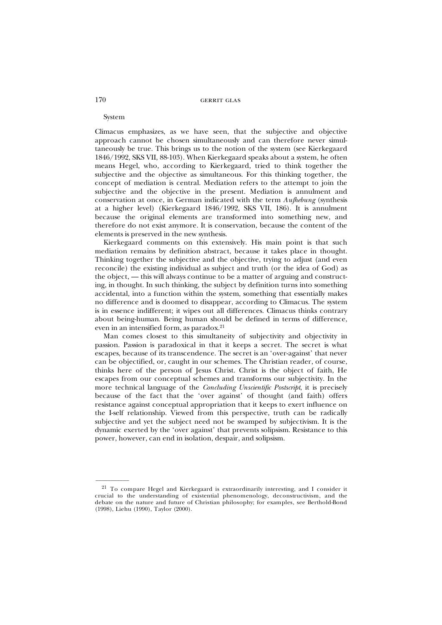# System

\_\_\_\_\_\_\_\_\_\_\_

Climacus emphasizes, as we have seen, that the subjective and objective approach cannot be chosen simultaneously and can therefore never simultaneously be true. This brings us to the notion of the system (see Kierkegaard 1846/1992, SKS VII, 88-103). When Kierkegaard speaks about a system, he often means Hegel, who, according to Kierkegaard, tried to think together the subjective and the objective as simultaneous. For this thinking together, the concept of mediation is central. Mediation refers to the attempt to join the subjective and the objective in the present. Mediation is annulment and conservation at once, in German indicated with the term *Aufhebung* (synthesis at a higher level) (Kierkegaard 1846/1992, SKS VII, 186). It is annulment because the original elements are transformed into something new, and therefore do not exist anymore. It is conservation, because the content of the elements is preserved in the new synthesis.

Kierkegaard comments on this extensively. His main point is that such mediation remains by definition abstract, because it takes place in thought. Thinking together the subjective and the objective, trying to adjust (and even reconcile) the existing individual as subject and truth (or the idea of God) as the object, — this will always continue to be a matter of arguing and constructing, in thought. In such thinking, the subject by definition turns into something accidental, into a function within the system, something that essentially makes no difference and is doomed to disappear, according to Climacus. The system is in essence indifferent; it wipes out all differences. Climacus thinks contrary about being-human. Being human should be defined in terms of difference, even in an intensified form, as paradox.21

Man comes closest to this simultaneity of subjectivity and objectivity in passion. Passion is paradoxical in that it keeps a secret. The secret is what escapes, because of its transcendence. The secret is an 'over-against' that never can be objectified, or, caught in our schemes. The Christian reader, of course, thinks here of the person of Jesus Christ. Christ is the object of faith, He escapes from our conceptual schemes and transforms our subjectivity. In the more technical language of the *Concluding Unscientific Postscript*, it is precisely because of the fact that the 'over against' of thought (and faith) offers resistance against conceptual appropriation that it keeps to exert influence on the I-self relationship. Viewed from this perspective, truth can be radically subjective and yet the subject need not be swamped by subjectivism. It is the dynamic exerted by the 'over against' that prevents solipsism. Resistance to this power, however, can end in isolation, despair, and solipsism.

<sup>21</sup> To compare Hegel and Kierkegaard is extraordinarily interesting, and I consider it crucial to the understanding of existential phenomenology, deconstructivism, and the debate on the nature and future of Christian philosophy; for examples, see Berthold-Bond (1998), Liehu (1990), Taylor (2000).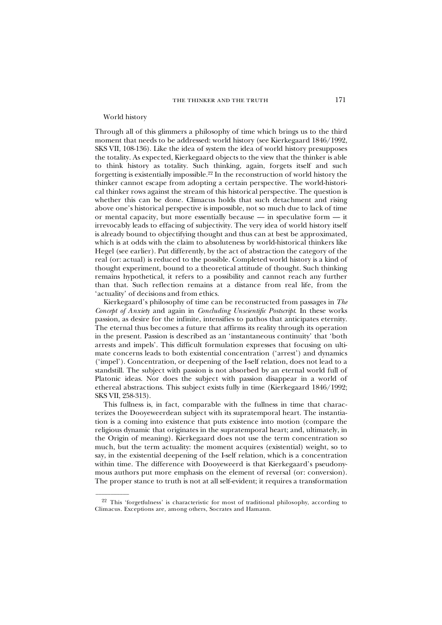# World history

\_\_\_\_\_\_\_\_\_\_\_

Through all of this glimmers a philosophy of time which brings us to the third moment that needs to be addressed: world history (see Kierkegaard 1846/1992, SKS VII, 108-136). Like the idea of system the idea of world history presupposes the totality. As expected, Kierkegaard objects to the view that the thinker is able to think history as totality. Such thinking, again, forgets itself and such forgetting is existentially impossible.22 In the reconstruction of world history the thinker cannot escape from adopting a certain perspective. The world-historical thinker rows against the stream of this historical perspective. The question is whether this can be done. Climacus holds that such detachment and rising above one's historical perspective is impossible, not so much due to lack of time or mental capacity, but more essentially because — in speculative form — it irrevocably leads to effacing of subjectivity. The very idea of world history itself is already bound to objectifying thought and thus can at best be approximated, which is at odds with the claim to absoluteness by world-historical thinkers like Hegel (see earlier). Put differently, by the act of abstraction the category of the real (or: actual) is reduced to the possible. Completed world history is a kind of thought experiment, bound to a theoretical attitude of thought. Such thinking remains hypothetical, it refers to a possibility and cannot reach any further than that. Such reflection remains at a distance from real life, from the 'actuality' of decisions and from ethics.

 Kierkegaard's philosophy of time can be reconstructed from passages in *The Concept of Anxiety* and again in *Concluding Unscientific Postscript*. In these works passion, as desire for the infinite, intensifies to pathos that anticipates eternity. The eternal thus becomes a future that affirms its reality through its operation in the present. Passion is described as an 'instantaneous continuity' that 'both arrests and impels'. This difficult formulation expresses that focusing on ultimate concerns leads to both existential concentration ('arrest') and dynamics ('impel'). Concentration, or deepening of the I-self relation, does not lead to a standstill. The subject with passion is not absorbed by an eternal world full of Platonic ideas. Nor does the subject with passion disappear in a world of ethereal abstractions. This subject exists fully in time (Kierkegaard 1846/1992; SKS VII, 258-313).

This fullness is, in fact, comparable with the fullness in time that characterizes the Dooyeweerdean subject with its supratemporal heart. The instantiation is a coming into existence that puts existence into motion (compare the religious dynamic that originates in the supratemporal heart; and, ultimately, in the Origin of meaning). Kierkegaard does not use the term concentration so much, but the term actuality: the moment acquires (existential) weight, so to say, in the existential deepening of the I-self relation, which is a concentration within time. The difference with Dooyeweerd is that Kierkegaard's pseudonymous authors put more emphasis on the element of reversal (or: conversion). The proper stance to truth is not at all self-evident; it requires a transformation

<sup>22</sup> This 'forgetfulness' is characteristic for most of traditional philosophy, according to Climacus. Exceptions are, among others, Socrates and Hamann.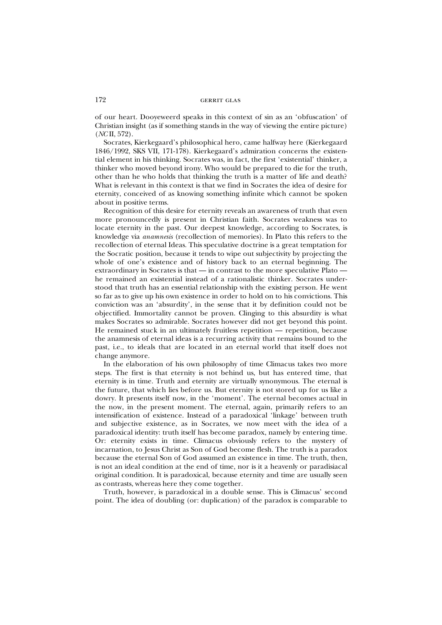of our heart. Dooyeweerd speaks in this context of sin as an 'obfuscation' of Christian insight (as if something stands in the way of viewing the entire picture) (*NC* II, 572).

 Socrates, Kierkegaard's philosophical hero, came halfway here (Kierkegaard 1846/1992, SKS VII, 171-178). Kierkegaard's admiration concerns the existential element in his thinking. Socrates was, in fact, the first 'existential' thinker, a thinker who moved beyond irony. Who would be prepared to die for the truth, other than he who holds that thinking the truth is a matter of life and death? What is relevant in this context is that we find in Socrates the idea of desire for eternity, conceived of as knowing something infinite which cannot be spoken about in positive terms.

Recognition of this desire for eternity reveals an awareness of truth that even more pronouncedly is present in Christian faith. Socrates weakness was to locate eternity in the past. Our deepest knowledge, according to Socrates, is knowledge via *anamnesis* (recollection of memories). In Plato this refers to the recollection of eternal Ideas. This speculative doctrine is a great temptation for the Socratic position, because it tends to wipe out subjectivity by projecting the whole of one's existence and of history back to an eternal beginning. The extraordinary in Socrates is that — in contrast to the more speculative Plato he remained an existential instead of a rationalistic thinker. Socrates understood that truth has an essential relationship with the existing person. He went so far as to give up his own existence in order to hold on to his convictions. This conviction was an 'absurdity', in the sense that it by definition could not be objectified. Immortality cannot be proven. Clinging to this absurdity is what makes Socrates so admirable. Socrates however did not get beyond this point. He remained stuck in an ultimately fruitless repetition — repetition, because the anamnesis of eternal ideas is a recurring activity that remains bound to the past, i.e., to ideals that are located in an eternal world that itself does not change anymore.

In the elaboration of his own philosophy of time Climacus takes two more steps. The first is that eternity is not behind us, but has entered time, that eternity is in time. Truth and eternity are virtually synonymous. The eternal is the future, that which lies before us. But eternity is not stored up for us like a dowry. It presents itself now, in the 'moment'. The eternal becomes actual in the now, in the present moment. The eternal, again, primarily refers to an intensification of existence. Instead of a paradoxical 'linkage' between truth and subjective existence, as in Socrates, we now meet with the idea of a paradoxical identity: truth itself has become paradox, namely by entering time. Or: eternity exists in time. Climacus obviously refers to the mystery of incarnation, to Jesus Christ as Son of God become flesh. The truth is a paradox because the eternal Son of God assumed an existence in time. The truth, then, is not an ideal condition at the end of time, nor is it a heavenly or paradisiacal original condition. It is paradoxical, because eternity and time are usually seen as contrasts, whereas here they come together.

Truth, however, is paradoxical in a double sense. This is Climacus' second point. The idea of doubling (or: duplication) of the paradox is comparable to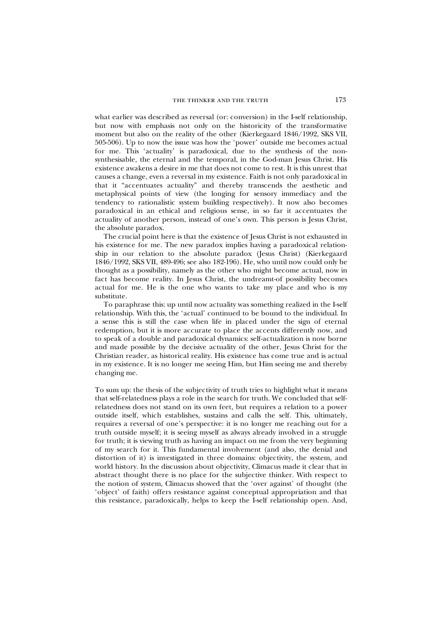what earlier was described as reversal (or: conversion) in the I-self relationship, but now with emphasis not only on the historicity of the transformative moment but also on the reality of the other (Kierkegaard 1846/1992, SKS VII, 505-506). Up to now the issue was how the 'power' outside me becomes actual for me. This 'actuality' is paradoxical, due to the synthesis of the nonsynthesisable, the eternal and the temporal, in the God-man Jesus Christ. His existence awakens a desire in me that does not come to rest. It is this unrest that causes a change, even a reversal in my existence. Faith is not only paradoxical in that it "accentuates actuality" and thereby transcends the aesthetic and metaphysical points of view (the longing for sensory immediacy and the tendency to rationalistic system building respectively). It now also becomes paradoxical in an ethical and religious sense, in so far it accentuates the actuality of another person, instead of one's own. This person is Jesus Christ, the absolute paradox.

The crucial point here is that the existence of Jesus Christ is not exhausted in his existence for me. The new paradox implies having a paradoxical relationship in our relation to the absolute paradox (Jesus Christ) (Kierkegaard 1846/1992, SKS VII, 489-496; see also 182-196). He, who until now could only be thought as a possibility, namely as the other who might become actual, now in fact has become reality. In Jesus Christ, the undreamt-of possibility becomes actual for me. He is the one who wants to take my place and who is my substitute.

To paraphrase this: up until now actuality was something realized in the I-self relationship. With this, the 'actual' continued to be bound to the individual. In a sense this is still the case when life in placed under the sign of eternal redemption, but it is more accurate to place the accents differently now, and to speak of a double and paradoxical dynamics: self-actualization is now borne and made possible by the decisive actuality of the other, Jesus Christ for the Christian reader, as historical reality. His existence has come true and is actual in my existence. It is no longer me seeing Him, but Him seeing me and thereby changing me.

To sum up: the thesis of the subjectivity of truth tries to highlight what it means that self-relatedness plays a role in the search for truth. We concluded that selfrelatedness does not stand on its own feet, but requires a relation to a power outside itself, which establishes, sustains and calls the self. This, ultimately, requires a reversal of one's perspective: it is no longer me reaching out for a truth outside myself; it is seeing myself as always already involved in a struggle for truth; it is viewing truth as having an impact on me from the very beginning of my search for it. This fundamental involvement (and also, the denial and distortion of it) is investigated in three domains: objectivity, the system, and world history. In the discussion about objectivity, Climacus made it clear that in abstract thought there is no place for the subjective thinker. With respect to the notion of system, Climacus showed that the 'over against' of thought (the 'object' of faith) offers resistance against conceptual appropriation and that this resistance, paradoxically, helps to keep the I-self relationship open. And,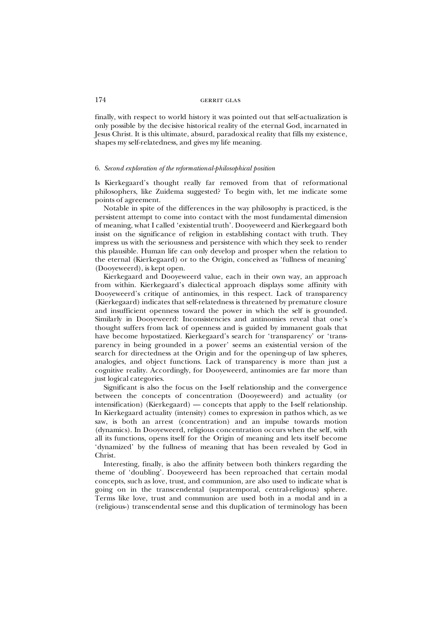finally, with respect to world history it was pointed out that self-actualization is only possible by the decisive historical reality of the eternal God, incarnated in Jesus Christ. It is this ultimate, absurd, paradoxical reality that fills my existence, shapes my self-relatedness, and gives my life meaning.

#### 6. *Second exploration of the reformational-philosophical position*

Is Kierkegaard's thought really far removed from that of reformational philosophers, like Zuidema suggested? To begin with, let me indicate some points of agreement.

 Notable in spite of the differences in the way philosophy is practiced, is the persistent attempt to come into contact with the most fundamental dimension of meaning, what I called 'existential truth'. Dooyeweerd and Kierkegaard both insist on the significance of religion in establishing contact with truth. They impress us with the seriousness and persistence with which they seek to render this plausible. Human life can only develop and prosper when the relation to the eternal (Kierkegaard) or to the Origin, conceived as 'fullness of meaning' (Dooyeweerd), is kept open.

Kierkegaard and Dooyeweerd value, each in their own way, an approach from within. Kierkegaard's dialectical approach displays some affinity with Dooyeweerd's critique of antinomies, in this respect. Lack of transparency (Kierkegaard) indicates that self-relatedness is threatened by premature closure and insufficient openness toward the power in which the self is grounded. Similarly in Dooyeweerd: Inconsistencies and antinomies reveal that one's thought suffers from lack of openness and is guided by immanent goals that have become hypostatized. Kierkegaard's search for 'transparency' or 'transparency in being grounded in a power' seems an existential version of the search for directedness at the Origin and for the opening-up of law spheres, analogies, and object functions. Lack of transparency is more than just a cognitive reality. Accordingly, for Dooyeweerd, antinomies are far more than just logical categories.

 Significant is also the focus on the I-self relationship and the convergence between the concepts of concentration (Dooyeweerd) and actuality (or intensification) (Kierkegaard) — concepts that apply to the I-self relationship. In Kierkegaard actuality (intensity) comes to expression in pathos which, as we saw, is both an arrest (concentration) and an impulse towards motion (dynamics). In Dooyeweerd, religious concentration occurs when the self, with all its functions, opens itself for the Origin of meaning and lets itself become 'dynamized' by the fullness of meaning that has been revealed by God in Christ.

 Interesting, finally, is also the affinity between both thinkers regarding the theme of 'doubling'. Dooyeweerd has been reproached that certain modal concepts, such as love, trust, and communion, are also used to indicate what is going on in the transcendental (supratemporal, central-religious) sphere. Terms like love, trust and communion are used both in a modal and in a (religious-) transcendental sense and this duplication of terminology has been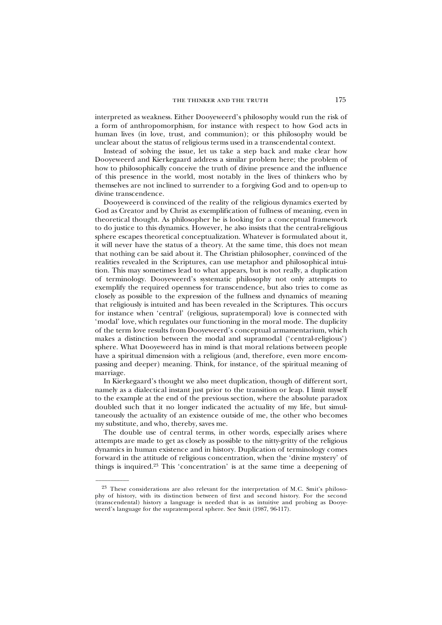interpreted as weakness. Either Dooyeweerd's philosophy would run the risk of a form of anthropomorphism, for instance with respect to how God acts in human lives (in love, trust, and communion); or this philosophy would be unclear about the status of religious terms used in a transcendental context.

Instead of solving the issue, let us take a step back and make clear how Dooyeweerd and Kierkegaard address a similar problem here; the problem of how to philosophically conceive the truth of divine presence and the influence of this presence in the world, most notably in the lives of thinkers who by themselves are not inclined to surrender to a forgiving God and to open-up to divine transcendence.

Dooyeweerd is convinced of the reality of the religious dynamics exerted by God as Creator and by Christ as exemplification of fullness of meaning, even in theoretical thought. As philosopher he is looking for a conceptual framework to do justice to this dynamics. However, he also insists that the central-religious sphere escapes theoretical conceptualization. Whatever is formulated about it, it will never have the status of a theory. At the same time, this does not mean that nothing can be said about it. The Christian philosopher, convinced of the realities revealed in the Scriptures, can use metaphor and philosophical intuition. This may sometimes lead to what appears, but is not really, a duplication of terminology. Dooyeweerd's systematic philosophy not only attempts to exemplify the required openness for transcendence, but also tries to come as closely as possible to the expression of the fullness and dynamics of meaning that religiously is intuited and has been revealed in the Scriptures. This occurs for instance when 'central' (religious, supratemporal) love is connected with 'modal' love, which regulates our functioning in the moral mode. The duplicity of the term love results from Dooyeweerd's conceptual armamentarium, which makes a distinction between the modal and supramodal ('central-religious') sphere. What Dooyeweerd has in mind is that moral relations between people have a spiritual dimension with a religious (and, therefore, even more encompassing and deeper) meaning. Think, for instance, of the spiritual meaning of marriage.

In Kierkegaard's thought we also meet duplication, though of different sort, namely as a dialectical instant just prior to the transition or leap. I limit myself to the example at the end of the previous section, where the absolute paradox doubled such that it no longer indicated the actuality of my life, but simultaneously the actuality of an existence outside of me, the other who becomes my substitute, and who, thereby, saves me.

 The double use of central terms, in other words, especially arises where attempts are made to get as closely as possible to the nitty-gritty of the religious dynamics in human existence and in history. Duplication of terminology comes forward in the attitude of religious concentration, when the 'divine mystery' of things is inquired.23 This 'concentration' is at the same time a deepening of

 $23$  These considerations are also relevant for the interpretation of M.C. Smit's philosophy of history, with its distinction between of first and second history. For the second (transcendental) history a language is needed that is as intuitive and probing as Dooyeweerd's language for the supratemporal sphere. See Smit (1987, 96-117).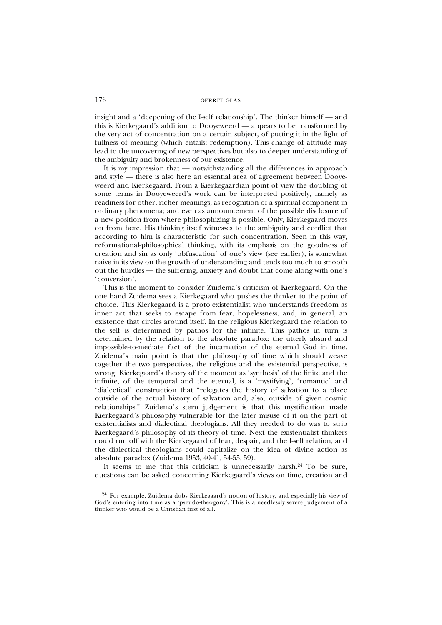insight and a 'deepening of the I-self relationship'. The thinker himself — and this is Kierkegaard's addition to Dooyeweerd — appears to be transformed by the very act of concentration on a certain subject, of putting it in the light of fullness of meaning (which entails: redemption). This change of attitude may lead to the uncovering of new perspectives but also to deeper understanding of the ambiguity and brokenness of our existence.

 It is my impression that — notwithstanding all the differences in approach and style — there is also here an essential area of agreement between Dooyeweerd and Kierkegaard. From a Kierkegaardian point of view the doubling of some terms in Dooyeweerd's work can be interpreted positively, namely as readiness for other, richer meanings; as recognition of a spiritual component in ordinary phenomena; and even as announcement of the possible disclosure of a new position from where philosophizing is possible. Only, Kierkegaard moves on from here. His thinking itself witnesses to the ambiguity and conflict that according to him is characteristic for such concentration. Seen in this way, reformational-philosophical thinking, with its emphasis on the goodness of creation and sin as only 'obfuscation' of one's view (see earlier), is somewhat naive in its view on the growth of understanding and tends too much to smooth out the hurdles — the suffering, anxiety and doubt that come along with one's 'conversion'.

 This is the moment to consider Zuidema's criticism of Kierkegaard. On the one hand Zuidema sees a Kierkegaard who pushes the thinker to the point of choice. This Kierkegaard is a proto-existentialist who understands freedom as inner act that seeks to escape from fear, hopelessness, and, in general, an existence that circles around itself. In the religious Kierkegaard the relation to the self is determined by pathos for the infinite. This pathos in turn is determined by the relation to the absolute paradox: the utterly absurd and impossible-to-mediate fact of the incarnation of the eternal God in time. Zuidema's main point is that the philosophy of time which should weave together the two perspectives, the religious and the existential perspective, is wrong. Kierkegaard's theory of the moment as 'synthesis' of the finite and the infinite, of the temporal and the eternal, is a 'mystifying', 'romantic' and 'dialectical' construction that "relegates the history of salvation to a place outside of the actual history of salvation and, also, outside of given cosmic relationships." Zuidema's stern judgement is that this mystification made Kierkegaard's philosophy vulnerable for the later misuse of it on the part of existentialists and dialectical theologians. All they needed to do was to strip Kierkegaard's philosophy of its theory of time. Next the existentialist thinkers could run off with the Kierkegaard of fear, despair, and the I-self relation, and the dialectical theologians could capitalize on the idea of divine action as absolute paradox (Zuidema 1953, 40-41, 54-55, 59).

 It seems to me that this criticism is unnecessarily harsh.24 To be sure, questions can be asked concerning Kierkegaard's views on time, creation and

<sup>24</sup> For example, Zuidema dubs Kierkegaard's notion of history, and especially his view of God's entering into time as a 'pseudo-theogony'. This is a needlessly severe judgement of a thinker who would be a Christian first of all.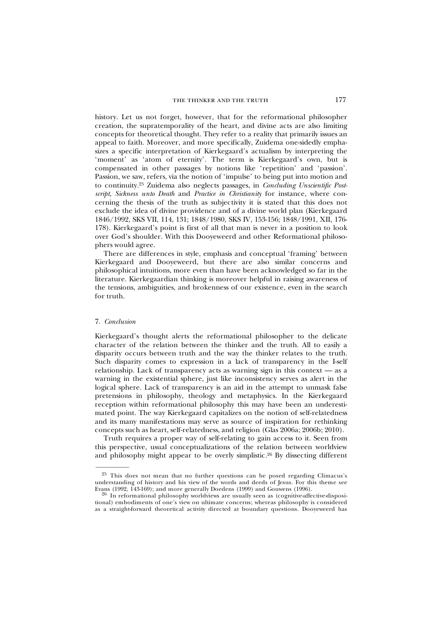history. Let us not forget, however, that for the reformational philosopher creation, the supratemporality of the heart, and divine acts are also limiting concepts for theoretical thought. They refer to a reality that primarily issues an appeal to faith. Moreover, and more specifically, Zuidema one-sidedly emphasizes a specific interpretation of Kierkegaard's actualism by interpreting the 'moment' as 'atom of eternity'. The term is Kierkegaard's own, but is compensated in other passages by notions like 'repetition' and 'passion'. Passion, we saw, refers, via the notion of 'impulse' to being put into motion and to continuity.25 Zuidema also neglects passages, in *Concluding Unscientific Postscript, Sickness unto Death* and *Practice in Christianity* for instance, where concerning the thesis of the truth as subjectivity it is stated that this does not exclude the idea of divine providence and of a divine world plan (Kierkegaard 1846/1992, SKS VII, 114, 131; 1848/1980, SKS IV, 153-156; 1848/1991, XII, 176- 178). Kierkegaard's point is first of all that man is never in a position to look over God's shoulder. With this Dooyeweerd and other Reformational philosophers would agree.

 There are differences in style, emphasis and conceptual 'framing' between Kierkegaard and Dooyeweerd, but there are also similar concerns and philosophical intuitions, more even than have been acknowledged so far in the literature. Kierkegaardian thinking is moreover helpful in raising awareness of the tensions, ambiguities, and brokenness of our existence, even in the search for truth.

# 7. *Conclusion*

\_\_\_\_\_\_\_\_\_\_\_

Kierkegaard's thought alerts the reformational philosopher to the delicate character of the relation between the thinker and the truth. All to easily a disparity occurs between truth and the way the thinker relates to the truth. Such disparity comes to expression in a lack of transparency in the I-self relationship. Lack of transparency acts as warning sign in this context — as a warning in the existential sphere, just like inconsistency serves as alert in the logical sphere. Lack of transparency is an aid in the attempt to unmask false pretensions in philosophy, theology and metaphysics. In the Kierkegaard reception within reformational philosophy this may have been an underestimated point. The way Kierkegaard capitalizes on the notion of self-relatedness and its many manifestations may serve as source of inspiration for rethinking concepts such as heart, self-relatedness, and religion (Glas 2006a; 2006b; 2010).

Truth requires a proper way of self-relating to gain access to it. Seen from this perspective, usual conceptualizations of the relation between worldview and philosophy might appear to be overly simplistic.26 By dissecting different

<sup>&</sup>lt;sup>25</sup> This does not mean that no further questions can be posed regarding Climacus's understanding of history and his view of the words and deeds of Jesus. For this theme see Evans (1992, 143-169); and more generally Doedens (1999) and Gouwens (1996). 26 In reformational philosophy worldviews are usually seen as (cognitive-affective-disposi-

tional) embodiments of one's view on ultimate concerns; whereas philosophy is considered as a straight-forward theoretical activity directed at boundary questions. Dooyeweerd has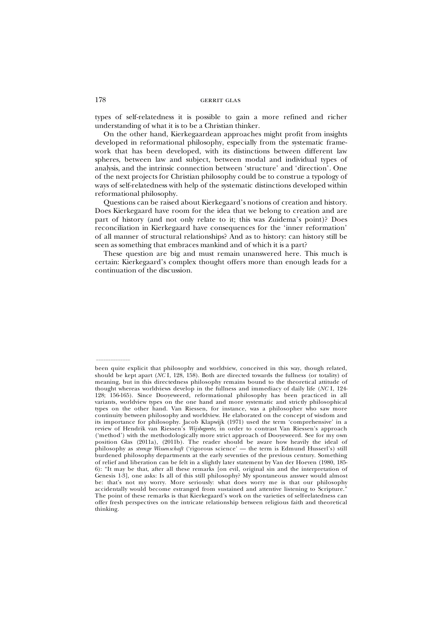types of self-relatedness it is possible to gain a more refined and richer understanding of what it is to be a Christian thinker.

On the other hand, Kierkegaardean approaches might profit from insights developed in reformational philosophy, especially from the systematic framework that has been developed, with its distinctions between different law spheres, between law and subject, between modal and individual types of analysis, and the intrinsic connection between 'structure' and 'direction'. One of the next projects for Christian philosophy could be to construe a typology of ways of self-relatedness with help of the systematic distinctions developed within reformational philosophy.

 Questions can be raised about Kierkegaard's notions of creation and history. Does Kierkegaard have room for the idea that we belong to creation and are part of history (and not only relate to it; this was Zuidema's point)? Does reconciliation in Kierkegaard have consequences for the 'inner reformation' of all manner of structural relationships? And as to history: can history still be seen as something that embraces mankind and of which it is a part?

 These question are big and must remain unanswered here. This much is certain: Kierkegaard's complex thought offers more than enough leads for a continuation of the discussion.

been quite explicit that philosophy and worldview, conceived in this way, though related, should be kept apart (*NC* I, 128, 158). Both are directed towards the fullness (or totality) of meaning, but in this directedness philosophy remains bound to the theoretical attitude of thought whereas worldviews develop in the fullness and immediacy of daily life (*NC* I, 124- 128; 156-165). Since Dooyeweerd, reformational philosophy has been practiced in all variants, worldview types on the one hand and more systematic and strictly philosophical types on the other hand. Van Riessen, for instance, was a philosopher who saw more continuity between philosophy and worldview. He elaborated on the concept of wisdom and its importance for philosophy. Jacob Klapwijk (1971) used the term 'comprehensive' in a review of Hendrik van Riessen's *Wijsbegeerte*, in order to contrast Van Riessen's approach ('method') with the methodologically more strict approach of Dooyeweerd. See for my own position Glas (2011a), (2011b). The reader should be aware how heavily the ideal of philosophy as *strenge Wissenschaft* ('rigorous science' — the term is Edmund Husserl's) still burdened philosophy departments at the early seventies of the previous century. Something of relief and liberation can be felt in a slightly later statement by Van der Hoeven (1980, 185- 6): "It may be that, after all these remarks [on evil, original sin and the interpretation of Genesis 1-3], one asks: Is all of this still philosophy? My spontaneous answer would almost be: that's not my worry. More seriously: what does worry me is that our philosophy accidentally would become estranged from sustained and attentive listening to Scripture." The point of these remarks is that Kierkegaard's work on the varieties of self-relatedness can offer fresh perspectives on the intricate relationship between religious faith and theoretical thinking.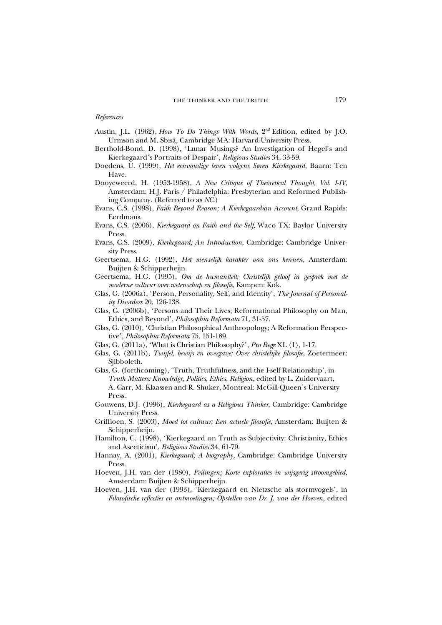# *References*

- Austin, J.L. (1962), *How To Do Things With Words*, 2nd Edition, edited by J.O. Urmson and M. Sbisá, Cambridge MA: Harvard University Press.
- Berthold-Bond, D. (1998), 'Lunar Musings? An Investigation of Hegel's and Kierkegaard's Portraits of Despair', *Religious Studies* 34, 33-59.
- Doedens, U. (1999), *Het eenvoudige leven volgens Søren Kierkegaard*, Baarn: Ten Have.
- Dooyeweerd, H. (1953-1958), *A New Critique of Theoretical Thought, Vol. I-IV*, Amsterdam: H.J. Paris / Philadelphia: Presbyterian and Reformed Publishing Company. (Referred to as *NC.*)
- Evans, C.S. (1998), *Faith Beyond Reason; A Kierkegaardian Account*, Grand Rapids: Eerdmans.
- Evans, C.S. (2006), *Kierkegaard on Faith and the Self*, Waco TX: Baylor University Press.
- Evans, C.S. (2009), *Kierkegaard; An Introduction*, Cambridge: Cambridge University Press.
- Geertsema, H.G. (1992), *Het menselijk karakter van ons kennen*, Amsterdam: Buijten & Schipperheijn.
- Geertsema, H.G. (1995), *Om de humaniteit; Christelijk geloof in gesprek met de moderne cultuur over wetenschap en filosofie*, Kampen: Kok.
- Glas, G. (2006a), 'Person, Personality, Self, and Identity', *The Journal of Personality Disorders* 20, 126-138.
- Glas, G. (2006b), 'Persons and Their Lives; Reformational Philosophy on Man, Ethics, and Beyond', *Philosophia Reformata* 71, 31-57.
- Glas, G. (2010), 'Christian Philosophical Anthropology; A Reformation Perspective', *Philosophia Reformata* 75, 151-189.
- Glas, G. (2011a), 'What is Christian Philosophy?', *Pro Rege* XL (1), 1-17.
- Glas, G. (2011b), *Twijfel, bewijs en overgave; Over christelijke filosofie*, Zoetermeer: Sjibboleth.
- Glas, G. (forthcoming), 'Truth, Truthfulness, and the I-self Relationship', in *Truth Matters: Knowledge, Politics, Ethics, Religion,* edited by L. Zuidervaart, A. Carr, M. Klaassen and R. Shuker, Montreal: McGill-Queen's University Press.
- Gouwens, D.J. (1996), *Kierkegaard as a Religious Thinker*, Cambridge: Cambridge University Press.
- Griffioen, S. (2003), *Moed tot cultuur; Een actuele filosofie,* Amsterdam: Buijten & Schipperheijn.
- Hamilton, C. (1998), 'Kierkegaard on Truth as Subjectivity: Christianity, Ethics and Asceticism', *Religious Studies* 34, 61-79.
- Hannay, A. (2001), *Kierkegaard; A biography,* Cambridge: Cambridge University Press.
- Hoeven, J.H. van der (1980), *Peilingen; Korte exploraties in wijsgerig stroomgebied,* Amsterdam: Buijten & Schipperheijn.

Hoeven, J.H. van der (1993), 'Kierkegaard en Nietzsche als stormvogels', in *Filosofische reflecties en ontmoetingen; Opstellen van Dr. J. van der Hoeven*, edited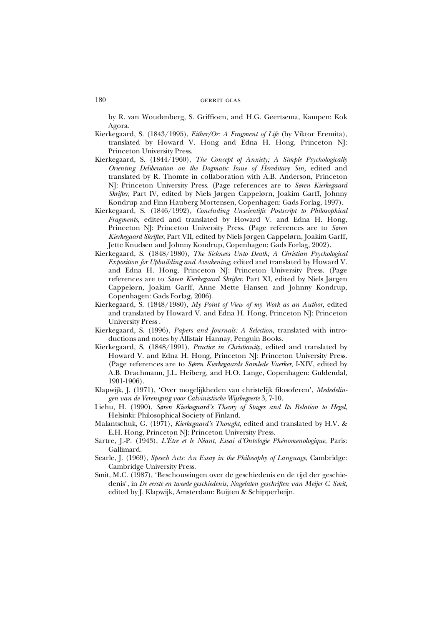by R. van Woudenberg, S. Griffioen, and H.G. Geertsema, Kampen: Kok Agora.

- Kierkegaard, S. (1843/1995), *Either/Or: A Fragment of Life* (by Viktor Eremita), translated by Howard V. Hong and Edna H. Hong, Princeton NJ: Princeton University Press.
- Kierkegaard, S. (1844/1960), *The Concept of Anxiety; A Simple Psychologically Orienting Deliberation on the Dogmatic Issue of Hereditary Sin,* edited and translated by R. Thomte in collaboration with A.B. Anderson, Princeton NJ: Princeton University Press. (Page references are to *Søren Kierkegaard Skrifter*, Part IV, edited by Niels Jørgen Cappelørn, Joakim Garff, Johnny Kondrup and Finn Hauberg Mortensen, Copenhagen: Gads Forlag, 1997).
- Kierkegaard, S. (1846/1992), *Concluding Unscientific Postscript to Philosophical Fragments*, edited and translated by Howard V. and Edna H. Hong, Princeton NJ: Princeton University Press. (Page references are to *Søren Kierkegaard Skrifter*, Part VII, edited by Niels Jørgen Cappelørn, Joakim Garff, Jette Knudsen and Johnny Kondrup, Copenhagen: Gads Forlag, 2002).
- Kierkegaard, S. (1848/1980), *The Sickness Unto Death; A Christian Psychological Exposition for Upbuilding and Awakening,* edited and translated by Howard V. and Edna H. Hong, Princeton NJ: Princeton University Press. (Page references are to *Søren Kierkegaard Skrifter*, Part XI, edited by Niels Jørgen Cappelørn, Joakim Garff, Anne Mette Hansen and Johnny Kondrup, Copenhagen: Gads Forlag, 2006).
- Kierkegaard, S. (1848/1980), *My Point of View of my Work as an Author,* edited and translated by Howard V. and Edna H. Hong, Princeton NJ: Princeton University Press .
- Kierkegaard, S. (1996), *Papers and Journals: A Selection,* translated with introductions and notes by Allistair Hannay, Penguin Books.
- Kierkegaard, S. (1848/1991), *Practice in Christianity*, edited and translated by Howard V. and Edna H. Hong, Princeton NJ: Princeton University Press. (Page references are to *Søren Kierkegaards Samlede Vaerker*, I-XIV, edited by A.B. Drachmann, J.L. Heiberg, and H.O. Lange, Copenhagen: Guldendal, 1901-1906).
- Klapwijk, J. (1971), 'Over mogelijkheden van christelijk filosoferen', *Mededelingen van de Vereniging voor Calvinistische Wijsbegeerte* 3, 7-10.
- Liehu, H. (1990), *Søren Kierkegaard's Theory of Stages and Its Relation to Hegel*, Helsinki: Philosophical Society of Finland.
- Malantschuk, G. (1971), *Kierkegaard's Thought*, edited and translated by H.V. & E.H. Hong, Princeton NJ: Princeton University Press.
- Sartre, J.-P. (1943), *L'Être et le Néant, Essai d'Ontologie Phénomenologique*, Paris: Gallimard.
- Searle, J. (1969), *Speech Acts: An Essay in the Philosophy of Language*, Cambridge: Cambridge University Press.
- Smit, M.C. (1987), 'Beschouwingen over de geschiedenis en de tijd der geschiedenis', in *De eerste en tweede geschiedenis; Nagelaten geschriften van Meijer C. Smit,* edited by J. Klapwijk, Amsterdam: Buijten & Schipperheijn.